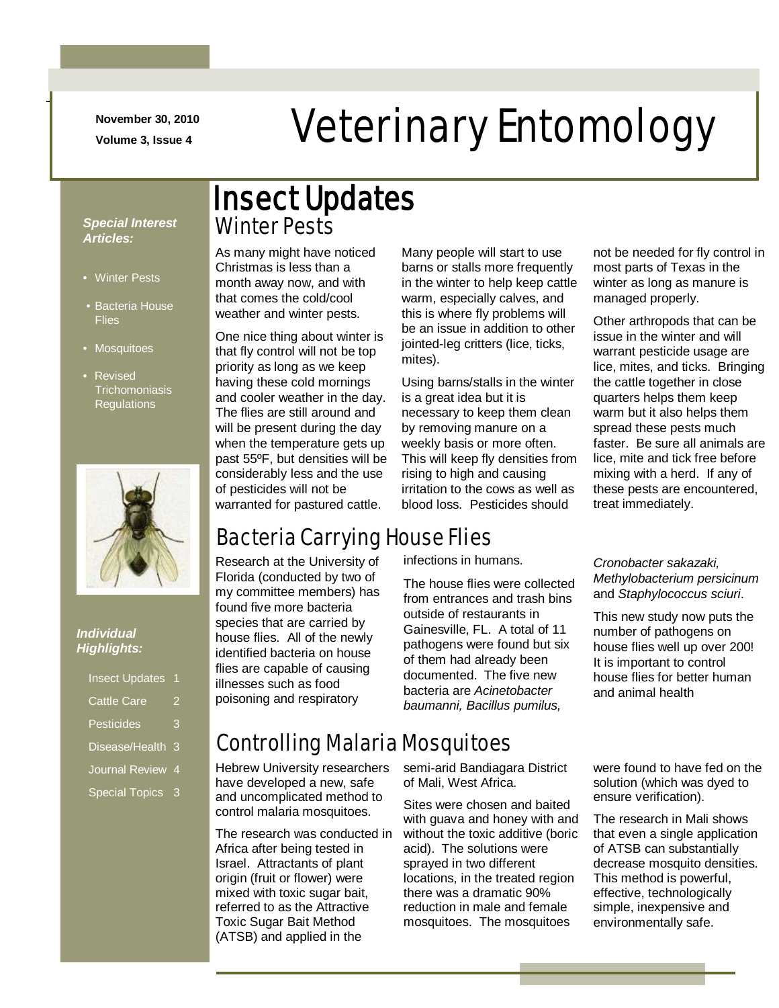**November 30, 2010**

-

# November 30, 2010<br>Veterinary Entomology

#### *Special Interest Articles:*

- Winter Pests
- Bacteria House **Flies**
- Mosquitoes
- Revised **Trichomoniasis** Regulations



#### *Individual Highlights:*

| 3 |
|---|
| 3 |
| 4 |
| 3 |
|   |

### Winter Pests Insect Updates

As many might have noticed Christmas is less than a month away now, and with that comes the cold/cool weather and winter pests.

One nice thing about winter is that fly control will not be top priority as long as we keep having these cold mornings and cooler weather in the day. The flies are still around and will be present during the day when the temperature gets up past 55ºF, but densities will be considerably less and the use of pesticides will not be warranted for pastured cattle.

Many people will start to use barns or stalls more frequently in the winter to help keep cattle warm, especially calves, and this is where fly problems will be an issue in addition to other jointed-leg critters (lice, ticks, mites).

Using barns/stalls in the winter is a great idea but it is necessary to keep them clean by removing manure on a weekly basis or more often. This will keep fly densities from rising to high and causing irritation to the cows as well as blood loss. Pesticides should

not be needed for fly control in most parts of Texas in the winter as long as manure is managed properly.

Other arthropods that can be issue in the winter and will warrant pesticide usage are lice, mites, and ticks. Bringing the cattle together in close quarters helps them keep warm but it also helps them spread these pests much faster. Be sure all animals are lice, mite and tick free before mixing with a herd. If any of these pests are encountered, treat immediately.

### Bacteria Carrying House Flies

Research at the University of Florida (conducted by two of my committee members) has found five more bacteria species that are carried by house flies. All of the newly identified bacteria on house flies are capable of causing illnesses such as food poisoning and respiratory

infections in humans.

The house flies were collected from entrances and trash bins outside of restaurants in Gainesville, FL. A total of 11 pathogens were found but six of them had already been documented. The five new bacteria are *Acinetobacter baumanni, Bacillus pumilus,* 

*Cronobacter sakazaki, Methylobacterium persicinum* and *Staphylococcus sciuri*.

This new study now puts the number of pathogens on house flies well up over 200! It is important to control house flies for better human and animal health

### Controlling Malaria Mosquitoes

Hebrew University researchers have developed a new, safe and uncomplicated method to control malaria mosquitoes.

The research was conducted in Africa after being tested in Israel. Attractants of plant origin (fruit or flower) were mixed with toxic sugar bait, referred to as the Attractive Toxic Sugar Bait Method (ATSB) and applied in the

semi-arid Bandiagara District of Mali, West Africa.

Sites were chosen and baited with guava and honey with and without the toxic additive (boric acid). The solutions were sprayed in two different locations, in the treated region there was a dramatic 90% reduction in male and female mosquitoes. The mosquitoes

were found to have fed on the solution (which was dyed to ensure verification).

The research in Mali shows that even a single application of ATSB can substantially decrease mosquito densities. This method is powerful, effective, technologically simple, inexpensive and environmentally safe.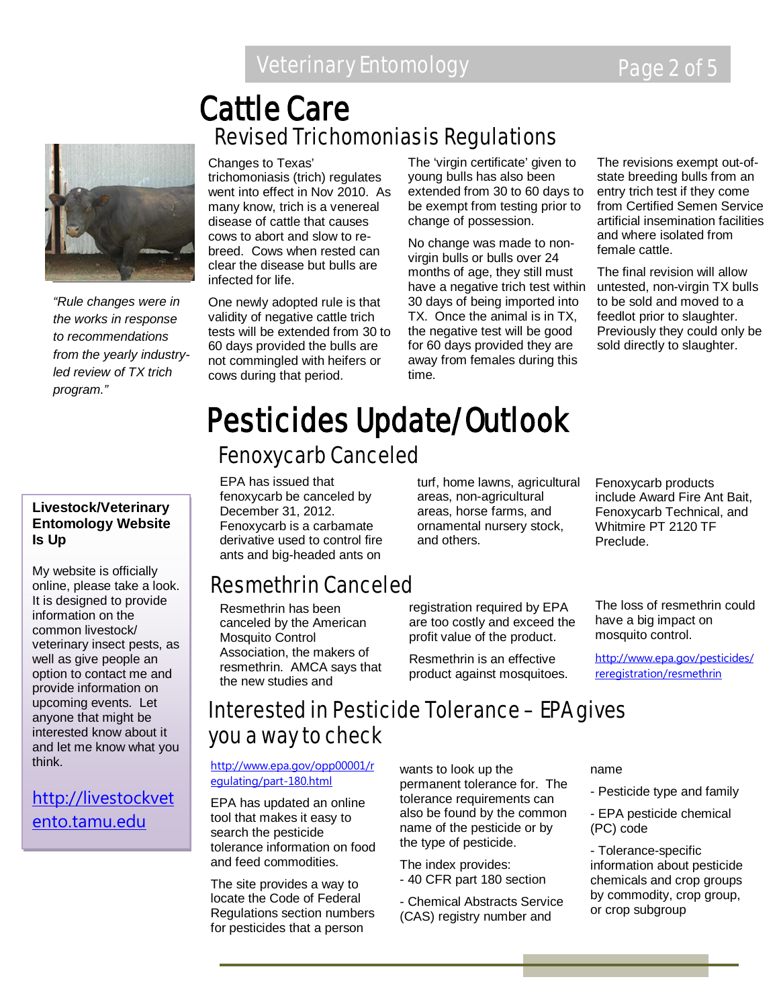### Revised Trichomoniasis Regulations Cattle Care



*"Rule changes were in the works in response to recommendations from the yearly industryled review of TX trich program."*

#### **Livestock/Veterinary Entomology Website Is Up**

My website is officially online, please take a look. It is designed to provide information on the common livestock/ veterinary insect pests, as well as give people an option to contact me and provide information on upcoming events. Let anyone that might be interested know about it and let me know what you think.

[http://livestockvet](http://livestockvetento.tamu.edu/) [ento.tamu.edu](http://livestockvetento.tamu.edu/)

#### Changes to Texas'

trichomoniasis (trich) regulates went into effect in Nov 2010. As many know, trich is a venereal disease of cattle that causes cows to abort and slow to rebreed. Cows when rested can clear the disease but bulls are infected for life.

One newly adopted rule is that validity of negative cattle trich tests will be extended from 30 to 60 days provided the bulls are not commingled with heifers or cows during that period.

The 'virgin certificate' given to young bulls has also been extended from 30 to 60 days to be exempt from testing prior to change of possession.

No change was made to nonvirgin bulls or bulls over 24 months of age, they still must have a negative trich test within untested, non-virgin TX bulls 30 days of being imported into TX. Once the animal is in TX, the negative test will be good for 60 days provided they are away from females during this time.

The revisions exempt out-ofstate breeding bulls from an entry trich test if they come from Certified Semen Service artificial insemination facilities and where isolated from female cattle.

The final revision will allow to be sold and moved to a feedlot prior to slaughter. Previously they could only be sold directly to slaughter.

### Fenoxycarb Canceled Pesticides Update/Outlook

EPA has issued that fenoxycarb be canceled by December 31, 2012. Fenoxycarb is a carbamate derivative used to control fire ants and big-headed ants on

### Resmethrin Canceled

Resmethrin has been canceled by the American Mosquito Control Association, the makers of resmethrin. AMCA says that the new studies and

turf, home lawns, agricultural areas, non-agricultural areas, horse farms, and ornamental nursery stock, and others.

registration required by EPA are too costly and exceed the profit value of the product.

Resmethrin is an effective product against mosquitoes. Fenoxycarb products include Award Fire Ant Bait, Fenoxycarb Technical, and Whitmire PT 2120 TF Preclude.

The loss of resmethrin could have a big impact on mosquito control.

[http://www.epa.gov/pesticides/](http://www.epa.gov/pesticides/reregistration/resmethrin) [reregistration/resmethrin](http://www.epa.gov/pesticides/reregistration/resmethrin)

### Interested in Pesticide Tolerance – EPA gives you a way to check

[http://www.epa.gov/opp00001/r](http://www.epa.gov/opp00001/regulating/part-180.html) [egulating/part-180.html](http://www.epa.gov/opp00001/regulating/part-180.html)

EPA has updated an online tool that makes it easy to search the pesticide tolerance information on food and feed commodities.

The site provides a way to locate the Code of Federal Regulations section numbers for pesticides that a person

wants to look up the permanent tolerance for. The tolerance requirements can also be found by the common name of the pesticide or by the type of pesticide.

The index provides: - 40 CFR part 180 section

- Chemical Abstracts Service (CAS) registry number and

name

- Pesticide type and family
- EPA pesticide chemical (PC) code

- Tolerance-specific information about pesticide chemicals and crop groups by commodity, crop group, or crop subgroup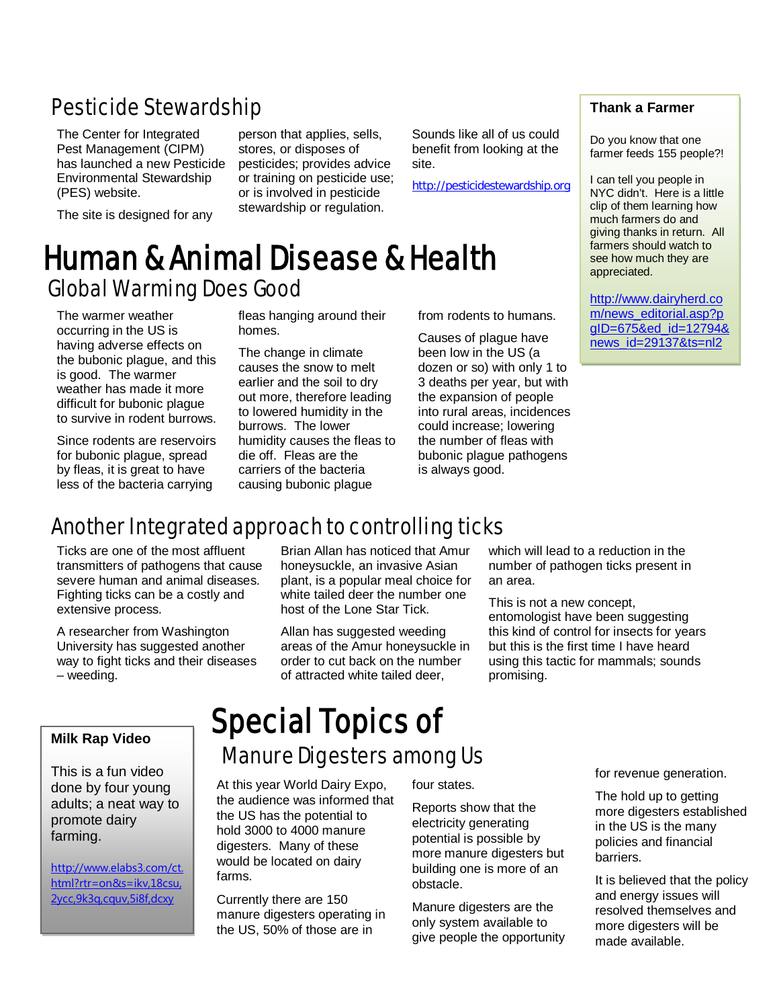### Pesticide Stewardship

The Center for Integrated Pest Management (CIPM) has launched a new Pesticide Environmental Stewardship (PES) website.

The site is designed for any

person that applies, sells, stores, or disposes of pesticides; provides advice or training on pesticide use; or is involved in pesticide stewardship or regulation.

Sounds like all of us could benefit from looking at the site.

[http://pesticidestewardship.org](http://pesticidestewardship.org/)

### Global Warming Does Good Human & Animal Disease & Health

The warmer weather occurring in the US is having adverse effects on the bubonic plague, and this is good. The warmer weather has made it more difficult for bubonic plague to survive in rodent burrows.

Since rodents are reservoirs for bubonic plague, spread by fleas, it is great to have less of the bacteria carrying

fleas hanging around their homes.

The change in climate causes the snow to melt earlier and the soil to dry out more, therefore leading to lowered humidity in the burrows. The lower humidity causes the fleas to die off. Fleas are the carriers of the bacteria causing bubonic plague

from rodents to humans.

Causes of plague have been low in the US (a dozen or so) with only 1 to 3 deaths per year, but with the expansion of people into rural areas, incidences could increase; lowering the number of fleas with bubonic plague pathogens is always good.

#### **Thank a Farmer**

Do you know that one farmer feeds 155 people?!

I can tell you people in NYC didn't. Here is a little clip of them learning how much farmers do and giving thanks in return. All farmers should watch to see how much they are appreciated.

[http://www.dairyherd.co](http://www.dairyherd.com/news_editorial.asp?pgID=675&ed_id=12794&news_id=29137&ts=nl2) [m/news\\_editorial.asp?p](http://www.dairyherd.com/news_editorial.asp?pgID=675&ed_id=12794&news_id=29137&ts=nl2) [gID=675&ed\\_id=12794&](http://www.dairyherd.com/news_editorial.asp?pgID=675&ed_id=12794&news_id=29137&ts=nl2) [news\\_id=29137&ts=nl2](http://www.dairyherd.com/news_editorial.asp?pgID=675&ed_id=12794&news_id=29137&ts=nl2)

### Another Integrated approach to controlling ticks

Ticks are one of the most affluent transmitters of pathogens that cause severe human and animal diseases. Fighting ticks can be a costly and extensive process.

A researcher from Washington University has suggested another way to fight ticks and their diseases – weeding.

#### **Milk Rap Video**

This is a fun video done by four young adults; a neat way to promote dairy farming.

[http://www.elabs3.com/ct.](http://www.elabs3.com/ct.html?rtr=on&s=ikv,18csu,2ycc,9k3q,cquv,5i8f,dcxy) [html?rtr=on&s=ikv,18csu,](http://www.elabs3.com/ct.html?rtr=on&s=ikv,18csu,2ycc,9k3q,cquv,5i8f,dcxy) [2ycc,9k3q,cquv,5i8f,dcxy](http://www.elabs3.com/ct.html?rtr=on&s=ikv,18csu,2ycc,9k3q,cquv,5i8f,dcxy)

Brian Allan has noticed that Amur honeysuckle, an invasive Asian plant, is a popular meal choice for white tailed deer the number one host of the Lone Star Tick.

Allan has suggested weeding areas of the Amur honeysuckle in order to cut back on the number of attracted white tailed deer,

which will lead to a reduction in the number of pathogen ticks present in an area.

This is not a new concept, entomologist have been suggesting this kind of control for insects for years but this is the first time I have heard using this tactic for mammals; sounds promising.

## Special Topics of

#### Manure Digesters among Us 9

At this year World Dairy Expo, the audience was informed that the US has the potential to hold 3000 to 4000 manure digesters. Many of these would be located on dairy farms.

Currently there are 150 manure digesters operating in the US, 50% of those are in

four states.

Reports show that the electricity generating potential is possible by more manure digesters but building one is more of an obstacle.

Manure digesters are the only system available to give people the opportunity for revenue generation.

The hold up to getting more digesters established in the US is the many policies and financial barriers.

It is believed that the policy and energy issues will resolved themselves and more digesters will be made available.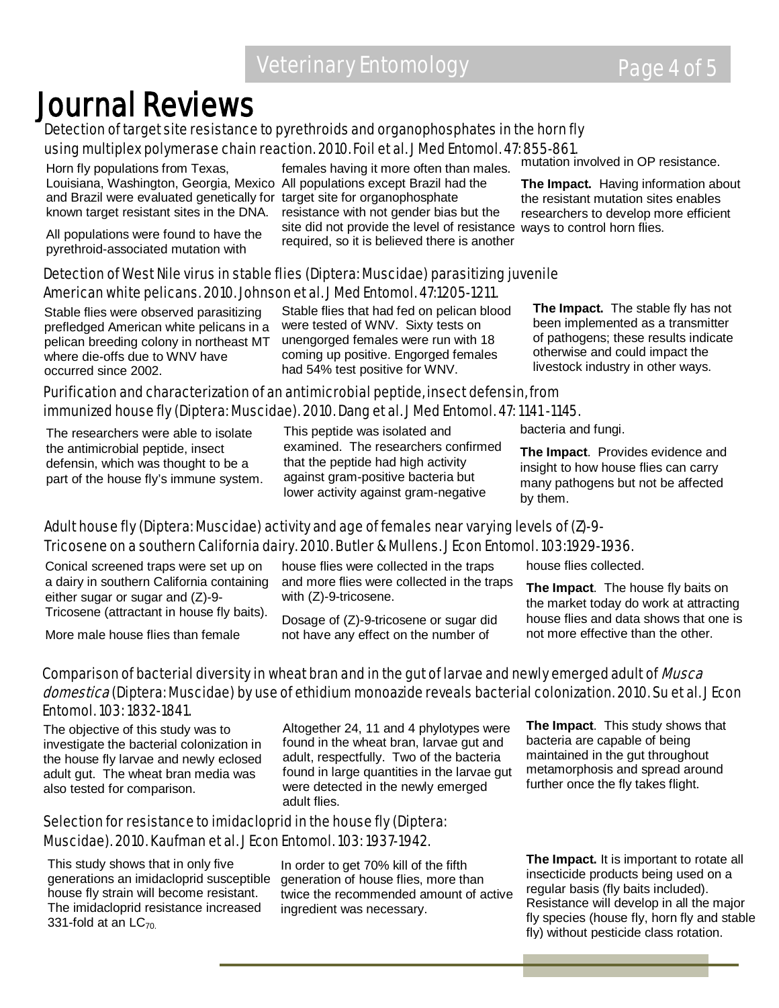## Journal Reviews<br>Detection of target site resistance to pyrethroids and organophosphates in the horn fly using multiplex polymerase chain reaction. 2010. Foil et al. J Med Entomol. 47: 855-861.

Horn fly populations from Texas, Louisiana, Washington, Georgia, Mexico All populations except Brazil had the and Brazil were evaluated genetically for target site for organophosphate known target resistant sites in the DNA.

All populations were found to have the pyrethroid-associated mutation with

females having it more often than males. resistance with not gender bias but the site did not provide the level of resistance ways to control horn flies. required, so it is believed there is another

mutation involved in OP resistance.

**The Impact.** Having information about the resistant mutation sites enables researchers to develop more efficient

#### Detection of West Nile virus in stable flies (Diptera: Muscidae) parasitizing juvenile American white pelicans. 2010. Johnson et al. J Med Entomol. 47:1205-1211.

Stable flies were observed parasitizing prefledged American white pelicans in a pelican breeding colony in northeast MT where die-offs due to WNV have occurred since 2002.

Stable flies that had fed on pelican blood were tested of WNV. Sixty tests on unengorged females were run with 18 coming up positive. Engorged females had 54% test positive for WNV.

**The Impact.** The stable fly has not been implemented as a transmitter of pathogens; these results indicate otherwise and could impact the livestock industry in other ways.

#### Purification and characterization of an antimicrobial peptide, insect defensin, from immunized house fly (Diptera: Muscidae). 2010. Dang et al. J Med Entomol. 47: 1141 -1145.

The researchers were able to isolate the antimicrobial peptide, insect defensin, which was thought to be a part of the house fly's immune system. This peptide was isolated and examined. The researchers confirmed that the peptide had high activity against gram-positive bacteria but lower activity against gram-negative

bacteria and fungi.

**The Impact**. Provides evidence and insight to how house flies can carry many pathogens but not be affected by them.

#### Adult house fly (Diptera: Muscidae) activity and age of females near varying levels of (Z)-9- Tricosene on a southern California dairy. 2010. Butler & Mullens. J Econ Entomol. 103:1929-1936.

Conical screened traps were set up on a dairy in southern California containing either sugar or sugar and (Z)-9- Tricosene (attractant in house fly baits).

More male house flies than female

house flies were collected in the traps and more flies were collected in the traps with (Z)-9-tricosene.

Dosage of (Z)-9-tricosene or sugar did not have any effect on the number of

house flies collected.

**The Impact**. The house fly baits on the market today do work at attracting house flies and data shows that one is not more effective than the other.

#### Comparison of bacterial diversity in wheat bran and in the gut of larvae and newly emerged adult of *Musca* domestica (Diptera: Muscidae) by use of ethidium monoazide reveals bacterial colonization. 2010. Su et al. J Econ Entomol. 103: 1832-1841.

The objective of this study was to investigate the bacterial colonization in the house fly larvae and newly eclosed adult gut. The wheat bran media was also tested for comparison.

Altogether 24, 11 and 4 phylotypes were found in the wheat bran, larvae gut and adult, respectfully. Two of the bacteria found in large quantities in the larvae gut were detected in the newly emerged adult flies.

#### Selection for resistance to imidacloprid in the house fly (Diptera: Muscidae). 2010. Kaufman et al. J Econ Entomol. 103: 1937-1942.

This study shows that in only five generations an imidacloprid susceptible house fly strain will become resistant. The imidacloprid resistance increased 331-fold at an  $LC_{70}$ .

In order to get 70% kill of the fifth generation of house flies, more than twice the recommended amount of active ingredient was necessary.

**The Impact**. This study shows that bacteria are capable of being maintained in the gut throughout metamorphosis and spread around further once the fly takes flight.

**The Impact.** It is important to rotate all insecticide products being used on a regular basis (fly baits included). Resistance will develop in all the major fly species (house fly, horn fly and stable fly) without pesticide class rotation.